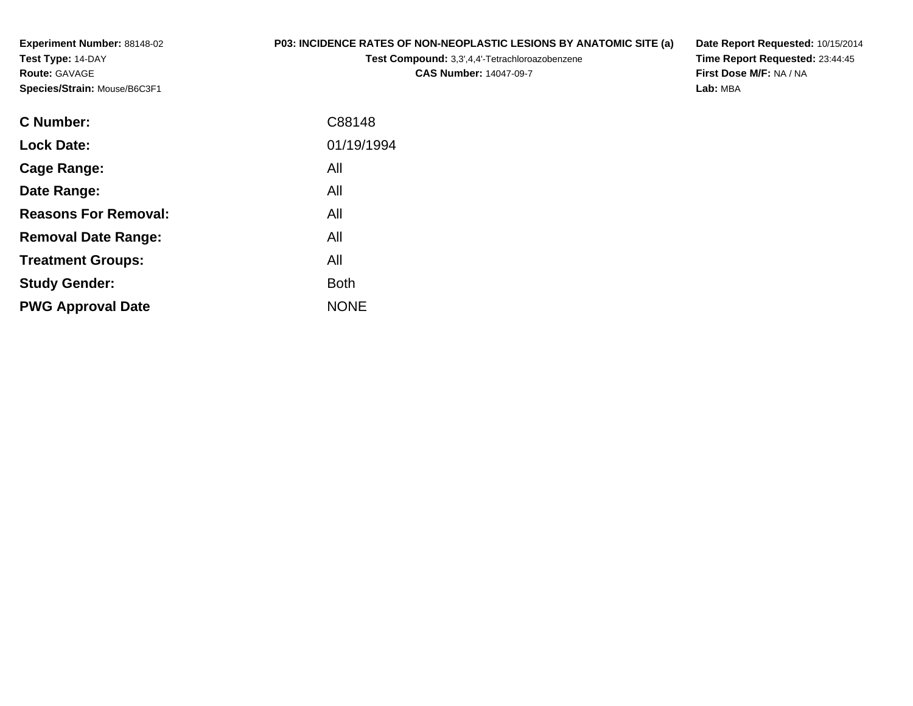**Experiment Number:** 88148-02**Test Type:** 14-DAY**Route:** GAVAGE**Species/Strain:** Mouse/B6C3F1

## **P03: INCIDENCE RATES OF NON-NEOPLASTIC LESIONS BY ANATOMIC SITE (a)**

**Test Compound:** 3,3',4,4'-Tetrachloroazobenzene

**CAS Number:** 14047-09-7

**Date Report Requested:** 10/15/2014**Time Report Requested:** 23:44:45**First Dose M/F:** NA / NA**Lab:** MBA

| <b>C</b> Number:            | C88148      |
|-----------------------------|-------------|
| <b>Lock Date:</b>           | 01/19/1994  |
| Cage Range:                 | All         |
| Date Range:                 | All         |
| <b>Reasons For Removal:</b> | All         |
| <b>Removal Date Range:</b>  | All         |
| <b>Treatment Groups:</b>    | All         |
| <b>Study Gender:</b>        | <b>Both</b> |
| <b>PWG Approval Date</b>    | <b>NONE</b> |
|                             |             |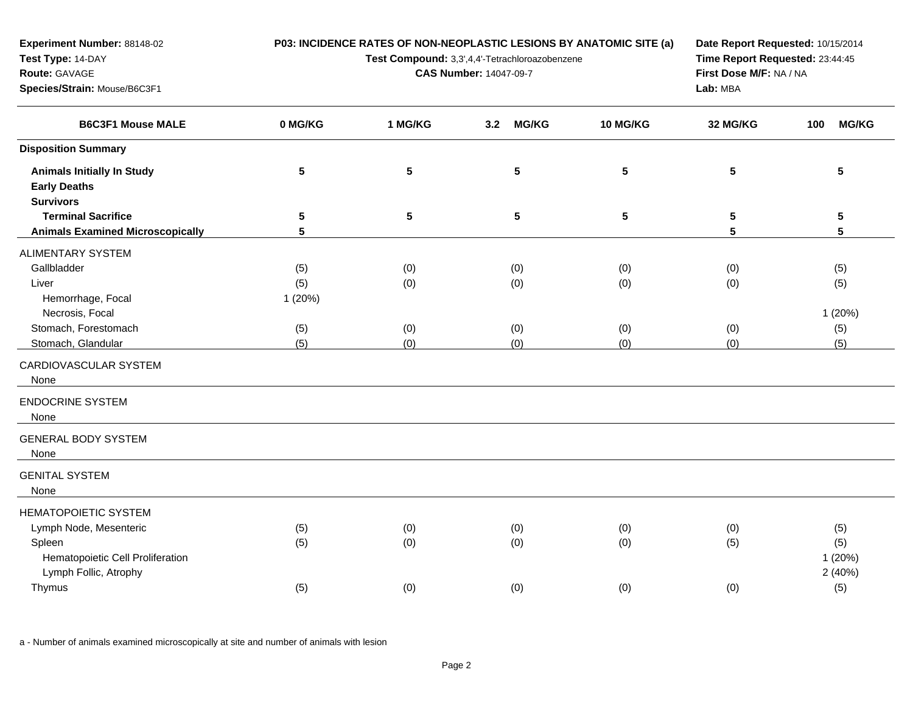| Test Type: 14-DAY                                                                                                                                                       |                                    |                               | Test Compound: 3,3',4,4'-Tetrachloroazobenzene | Time Report Requested: 23:44:45 |                          |                                    |
|-------------------------------------------------------------------------------------------------------------------------------------------------------------------------|------------------------------------|-------------------------------|------------------------------------------------|---------------------------------|--------------------------|------------------------------------|
| Route: GAVAGE                                                                                                                                                           |                                    | <b>CAS Number: 14047-09-7</b> | First Dose M/F: NA / NA                        |                                 |                          |                                    |
| Species/Strain: Mouse/B6C3F1                                                                                                                                            |                                    |                               |                                                |                                 | Lab: MBA                 |                                    |
| <b>B6C3F1 Mouse MALE</b>                                                                                                                                                | 0 MG/KG                            | 1 MG/KG                       | <b>MG/KG</b><br>3.2                            | 10 MG/KG                        | 32 MG/KG                 | <b>MG/KG</b><br>100                |
| <b>Disposition Summary</b>                                                                                                                                              |                                    |                               |                                                |                                 |                          |                                    |
| <b>Animals Initially In Study</b><br><b>Early Deaths</b><br><b>Survivors</b>                                                                                            | 5                                  | $\sqrt{5}$                    | 5                                              | $5\phantom{.0}$                 | 5                        | 5                                  |
| <b>Terminal Sacrifice</b><br><b>Animals Examined Microscopically</b>                                                                                                    | 5<br>$5\phantom{.0}$               | $\sqrt{5}$                    | 5                                              | $\overline{\mathbf{5}}$         | 5<br>5                   | 5<br>5                             |
| <b>ALIMENTARY SYSTEM</b><br>Gallbladder<br>Liver<br>Hemorrhage, Focal<br>Necrosis, Focal<br>Stomach, Forestomach<br>Stomach, Glandular<br>CARDIOVASCULAR SYSTEM<br>None | (5)<br>(5)<br>1(20%)<br>(5)<br>(5) | (0)<br>(0)<br>(0)<br>(0)      | (0)<br>(0)<br>(0)<br>(0)                       | (0)<br>(0)<br>(0)<br>(0)        | (0)<br>(0)<br>(0)<br>(0) | (5)<br>(5)<br>1(20%)<br>(5)<br>(5) |
| <b>ENDOCRINE SYSTEM</b><br>None                                                                                                                                         |                                    |                               |                                                |                                 |                          |                                    |
| <b>GENERAL BODY SYSTEM</b><br>None                                                                                                                                      |                                    |                               |                                                |                                 |                          |                                    |
| <b>GENITAL SYSTEM</b><br>None                                                                                                                                           |                                    |                               |                                                |                                 |                          |                                    |
| <b>HEMATOPOIETIC SYSTEM</b><br>Lymph Node, Mesenteric<br>Spleen<br>Hematopoietic Cell Proliferation<br>Lymph Follic, Atrophy                                            | (5)<br>(5)                         | (0)<br>(0)                    | (0)<br>(0)                                     | (0)<br>(0)                      | (0)<br>(5)               | (5)<br>(5)<br>1(20%)<br>2(40%)     |
| Thymus                                                                                                                                                                  | (5)                                | (0)                           | (0)                                            | (0)                             | (0)                      | (5)                                |

**P03: INCIDENCE RATES OF NON-NEOPLASTIC LESIONS BY ANATOMIC SITE (a)**

**Date Report Requested:** 10/15/2014

a - Number of animals examined microscopically at site and number of animals with lesion

**Experiment Number:** 88148-02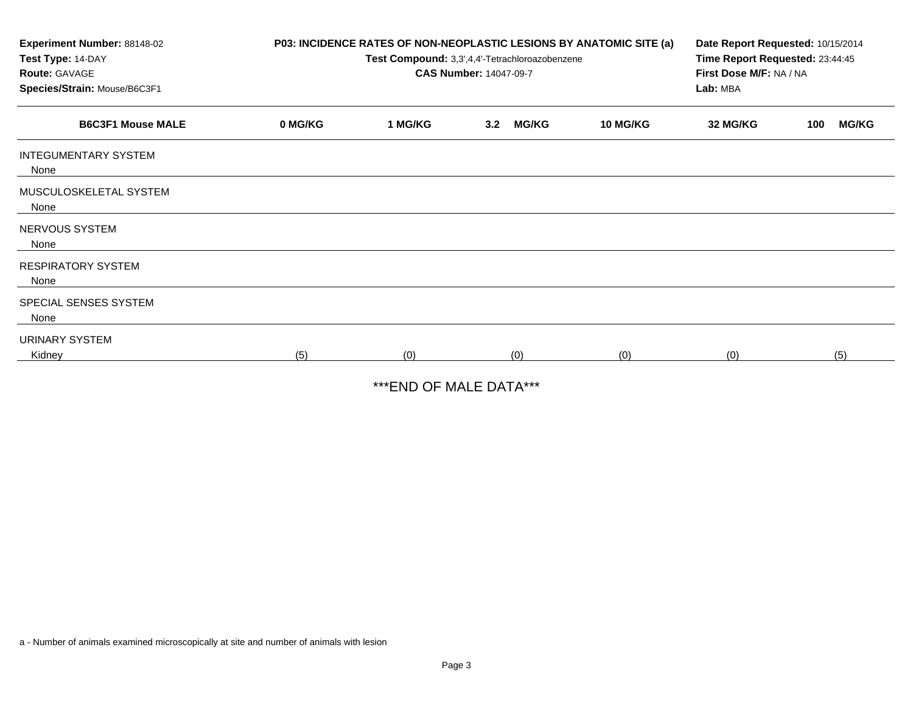| Experiment Number: 88148-02<br>Test Type: 14-DAY<br><b>Route: GAVAGE</b><br>Species/Strain: Mouse/B6C3F1 |         | P03: INCIDENCE RATES OF NON-NEOPLASTIC LESIONS BY ANATOMIC SITE (a)<br>Test Compound: 3,3',4,4'-Tetrachloroazobenzene<br><b>CAS Number: 14047-09-7</b> | Date Report Requested: 10/15/2014<br>Time Report Requested: 23:44:45<br>First Dose M/F: NA / NA<br>Lab: MBA |                 |          |                     |
|----------------------------------------------------------------------------------------------------------|---------|--------------------------------------------------------------------------------------------------------------------------------------------------------|-------------------------------------------------------------------------------------------------------------|-----------------|----------|---------------------|
| <b>B6C3F1 Mouse MALE</b>                                                                                 | 0 MG/KG | 1 MG/KG                                                                                                                                                | <b>MG/KG</b><br>3.2                                                                                         | <b>10 MG/KG</b> | 32 MG/KG | <b>MG/KG</b><br>100 |
| <b>INTEGUMENTARY SYSTEM</b><br>None                                                                      |         |                                                                                                                                                        |                                                                                                             |                 |          |                     |
| MUSCULOSKELETAL SYSTEM<br>None                                                                           |         |                                                                                                                                                        |                                                                                                             |                 |          |                     |
| NERVOUS SYSTEM<br>None                                                                                   |         |                                                                                                                                                        |                                                                                                             |                 |          |                     |
| <b>RESPIRATORY SYSTEM</b><br>None                                                                        |         |                                                                                                                                                        |                                                                                                             |                 |          |                     |
| SPECIAL SENSES SYSTEM<br>None                                                                            |         |                                                                                                                                                        |                                                                                                             |                 |          |                     |
| <b>URINARY SYSTEM</b><br>Kidney                                                                          | (5)     | (0)                                                                                                                                                    | (0)                                                                                                         | (0)             | (0)      | (5)                 |

\*\*\*END OF MALE DATA\*\*\*

a - Number of animals examined microscopically at site and number of animals with lesion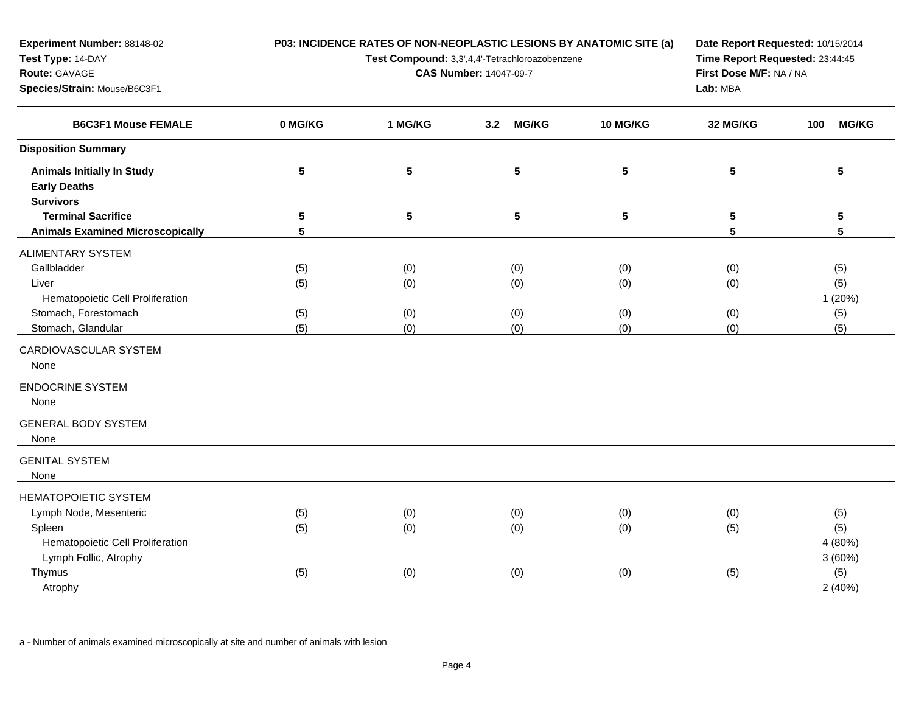| Test Type: 14-DAY<br>Route: GAVAGE<br>Species/Strain: Mouse/B6C3F1                                                           |                          | Test Compound: 3,3',4,4'-Tetrachloroazobenzene<br><b>CAS Number: 14047-09-7</b> | Time Report Requested: 23:44:45<br>First Dose M/F: NA / NA<br>Lab: MBA |                          |                          |                                    |
|------------------------------------------------------------------------------------------------------------------------------|--------------------------|---------------------------------------------------------------------------------|------------------------------------------------------------------------|--------------------------|--------------------------|------------------------------------|
| <b>B6C3F1 Mouse FEMALE</b>                                                                                                   | 0 MG/KG                  | 1 MG/KG                                                                         | <b>MG/KG</b><br>3.2                                                    | 10 MG/KG                 | 32 MG/KG                 | <b>MG/KG</b><br>100                |
| <b>Disposition Summary</b>                                                                                                   |                          |                                                                                 |                                                                        |                          |                          |                                    |
| <b>Animals Initially In Study</b><br><b>Early Deaths</b><br><b>Survivors</b>                                                 | 5                        | $5\phantom{.0}$                                                                 | $5\phantom{.0}$                                                        | $5\phantom{.0}$          | 5                        | 5                                  |
| <b>Terminal Sacrifice</b><br><b>Animals Examined Microscopically</b>                                                         | 5<br>5                   | $\sqrt{5}$                                                                      | $\sqrt{5}$                                                             | 5                        | 5<br>5                   | $\sqrt{5}$<br>$5\phantom{.0}$      |
| ALIMENTARY SYSTEM                                                                                                            |                          |                                                                                 |                                                                        |                          |                          |                                    |
| Gallbladder<br>Liver<br>Hematopoietic Cell Proliferation<br>Stomach, Forestomach<br>Stomach, Glandular                       | (5)<br>(5)<br>(5)<br>(5) | (0)<br>(0)<br>(0)<br>(0)                                                        | (0)<br>(0)<br>(0)<br>(0)                                               | (0)<br>(0)<br>(0)<br>(0) | (0)<br>(0)<br>(0)<br>(0) | (5)<br>(5)<br>1(20%)<br>(5)<br>(5) |
| CARDIOVASCULAR SYSTEM<br>None                                                                                                |                          |                                                                                 |                                                                        |                          |                          |                                    |
| <b>ENDOCRINE SYSTEM</b><br>None                                                                                              |                          |                                                                                 |                                                                        |                          |                          |                                    |
| <b>GENERAL BODY SYSTEM</b><br>None                                                                                           |                          |                                                                                 |                                                                        |                          |                          |                                    |
| <b>GENITAL SYSTEM</b><br>None                                                                                                |                          |                                                                                 |                                                                        |                          |                          |                                    |
| <b>HEMATOPOIETIC SYSTEM</b><br>Lymph Node, Mesenteric<br>Spleen<br>Hematopoietic Cell Proliferation<br>Lymph Follic, Atrophy | (5)<br>(5)               | (0)<br>(0)                                                                      | (0)<br>(0)                                                             | (0)<br>(0)               | (0)<br>(5)               | (5)<br>(5)<br>4 (80%)<br>3(60%)    |
| Thymus<br>Atrophy                                                                                                            | (5)                      | (0)                                                                             | (0)                                                                    | (0)                      | (5)                      | (5)<br>2(40%)                      |

**P03: INCIDENCE RATES OF NON-NEOPLASTIC LESIONS BY ANATOMIC SITE (a)**

**Date Report Requested:** 10/15/2014

a - Number of animals examined microscopically at site and number of animals with lesion

**Experiment Number:** 88148-02